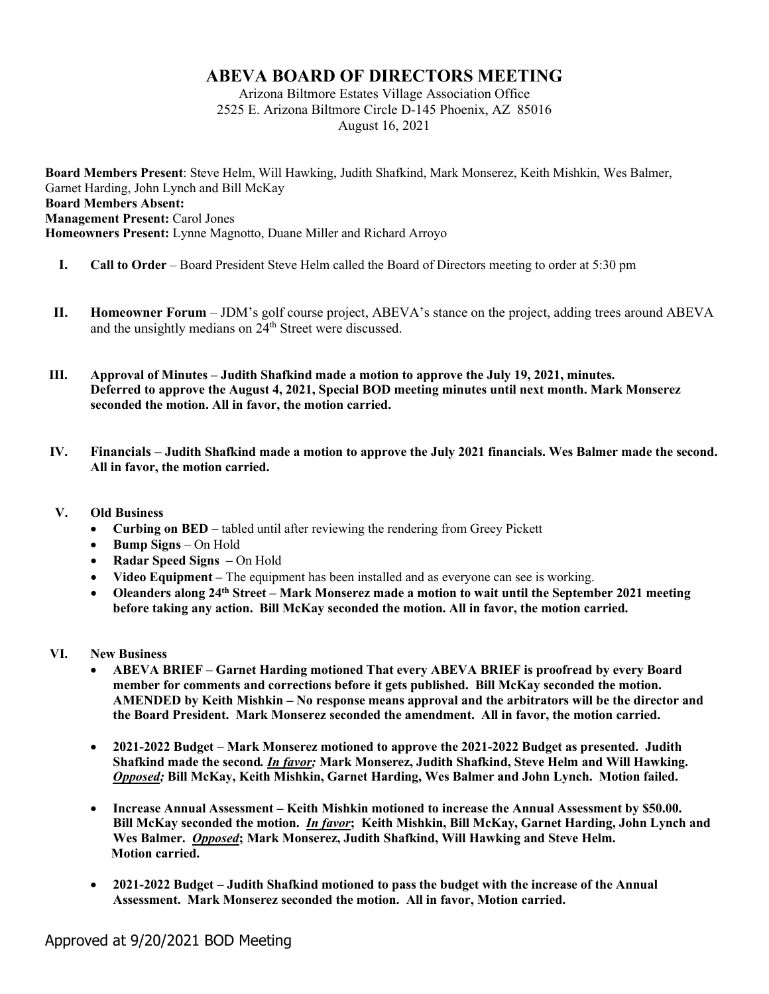## **ABEVA BOARD OF DIRECTORS MEETING**

Arizona Biltmore Estates Village Association Office 2525 E. Arizona Biltmore Circle D-145 Phoenix, AZ 85016 August 16, 2021

**Board Members Present**: Steve Helm, Will Hawking, Judith Shafkind, Mark Monserez, Keith Mishkin, Wes Balmer, Garnet Harding, John Lynch and Bill McKay **Board Members Absent: Management Present:** Carol Jones **Homeowners Present:** Lynne Magnotto, Duane Miller and Richard Arroyo

- **I. Call to Order** Board President Steve Helm called the Board of Directors meeting to order at 5:30 pm
- **II. Homeowner Forum** JDM's golf course project, ABEVA's stance on the project, adding trees around ABEVA and the unsightly medians on  $24<sup>th</sup>$  Street were discussed.
- **III. Approval of Minutes – Judith Shafkind made a motion to approve the July 19, 2021, minutes. Deferred to approve the August 4, 2021, Special BOD meeting minutes until next month. Mark Monserez seconded the motion. All in favor, the motion carried.**
- **IV. Financials – Judith Shafkind made a motion to approve the July 2021 financials. Wes Balmer made the second. All in favor, the motion carried.**
- **V. Old Business**
	- **Curbing on BED –** tabled until after reviewing the rendering from Greey Pickett
	- **Bump Signs** On Hold
	- **Radar Speed Signs –** On Hold
	- **Video Equipment –** The equipment has been installed and as everyone can see is working.
	- **Oleanders along 24th Street – Mark Monserez made a motion to wait until the September 2021 meeting before taking any action. Bill McKay seconded the motion. All in favor, the motion carried.**
- **VI. New Business**
	- **ABEVA BRIEF – Garnet Harding motioned That every ABEVA BRIEF is proofread by every Board member for comments and corrections before it gets published. Bill McKay seconded the motion. AMENDED by Keith Mishkin – No response means approval and the arbitrators will be the director and the Board President. Mark Monserez seconded the amendment. All in favor, the motion carried.**
	- **2021-2022 Budget – Mark Monserez motioned to approve the 2021-2022 Budget as presented. Judith Shafkind made the second***. In favor;* **Mark Monserez, Judith Shafkind, Steve Helm and Will Hawking.**  *Opposed;* **Bill McKay, Keith Mishkin, Garnet Harding, Wes Balmer and John Lynch. Motion failed.**
	- **Increase Annual Assessment – Keith Mishkin motioned to increase the Annual Assessment by \$50.00. Bill McKay seconded the motion.** *In favor***; Keith Mishkin, Bill McKay, Garnet Harding, John Lynch and Wes Balmer.** *Opposed***; Mark Monserez, Judith Shafkind, Will Hawking and Steve Helm. Motion carried.**
	- **2021-2022 Budget – Judith Shafkind motioned to pass the budget with the increase of the Annual Assessment. Mark Monserez seconded the motion. All in favor, Motion carried.**